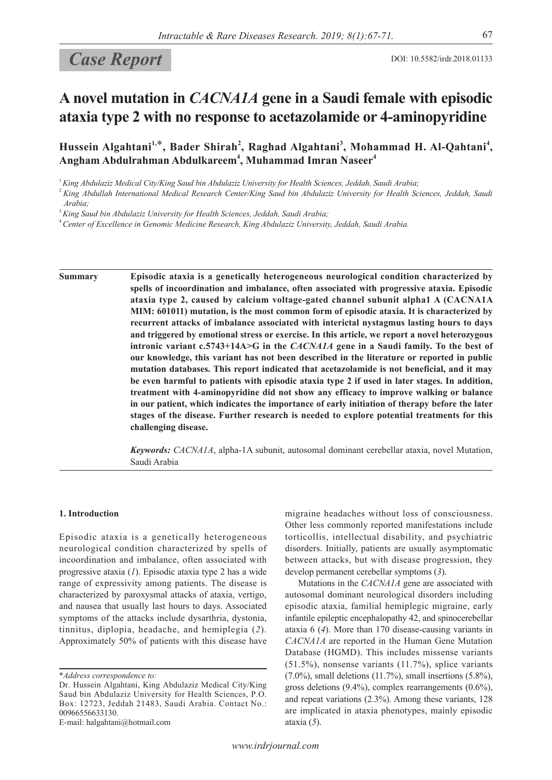# Case Report DOI: 10.5582/irdr.2018.01133

## **A novel mutation in** *CACNA1A* **gene in a Saudi female with episodic ataxia type 2 with no response to acetazolamide or 4-aminopyridine**

Hussein Algahtani<sup>1,\*</sup>, Bader Shirah<sup>2</sup>, Raghad Algahtani<sup>3</sup>, Mohammad H. Al-Qahtani<sup>4</sup>, **Angham Abdulrahman Abdulkareem<sup>4</sup> , Muhammad Imran Naseer<sup>4</sup>**

<sup>1</sup>*King Abdulaziz Medical City/King Saud bin Abdulaziz University for Health Sciences, Jeddah, Saudi Arabia;*

<sup>3</sup>*King Saud bin Abdulaziz University for Health Sciences, Jeddah, Saudi Arabia;*

<sup>4</sup>*Center of Excellence in Genomic Medicine Research, King Abdulaziz University, Jeddah, Saudi Arabia.*

**Summary Episodic ataxia is a genetically heterogeneous neurological condition characterized by spells of incoordination and imbalance, often associated with progressive ataxia. Episodic ataxia type 2, caused by calcium voltage-gated channel subunit alpha1 A (CACNA1A MIM: 601011) mutation, is the most common form of episodic ataxia. It is characterized by recurrent attacks of imbalance associated with interictal nystagmus lasting hours to days and triggered by emotional stress or exercise. In this article, we report a novel heterozygous intronic variant c.5743+14A>G in the** *CACNA1A* **gene in a Saudi family. To the best of our knowledge, this variant has not been described in the literature or reported in public mutation databases. This report indicated that acetazolamide is not beneficial, and it may be even harmful to patients with episodic ataxia type 2 if used in later stages. In addition, treatment with 4-aminopyridine did not show any efficacy to improve walking or balance in our patient, which indicates the importance of early initiation of therapy before the later stages of the disease. Further research is needed to explore potential treatments for this challenging disease.**

> *Keywords: CACNA1A*, alpha-1A subunit, autosomal dominant cerebellar ataxia, novel Mutation, Saudi Arabia

### **1. Introduction**

Episodic ataxia is a genetically heterogeneous neurological condition characterized by spells of incoordination and imbalance, often associated with progressive ataxia (*1*). Episodic ataxia type 2 has a wide range of expressivity among patients. The disease is characterized by paroxysmal attacks of ataxia, vertigo, and nausea that usually last hours to days. Associated symptoms of the attacks include dysarthria, dystonia, tinnitus, diplopia, headache, and hemiplegia (*2*). Approximately 50% of patients with this disease have

E-mail: halgahtani@hotmail.com

migraine headaches without loss of consciousness. Other less commonly reported manifestations include torticollis, intellectual disability, and psychiatric disorders. Initially, patients are usually asymptomatic between attacks, but with disease progression, they develop permanent cerebellar symptoms (*3*).

Mutations in the *CACNA1A* gene are associated with autosomal dominant neurological disorders including episodic ataxia, familial hemiplegic migraine, early infantile epileptic encephalopathy 42, and spinocerebellar ataxia 6 (*4*). More than 170 disease-causing variants in *CACNA1A* are reported in the Human Gene Mutation Database (HGMD). This includes missense variants (51.5%), nonsense variants (11.7%), splice variants  $(7.0\%)$ , small deletions  $(11.7\%)$ , small insertions  $(5.8\%)$ , gross deletions (9.4%), complex rearrangements (0.6%), and repeat variations (2.3%). Among these variants, 128 are implicated in ataxia phenotypes, mainly episodic ataxia (*5*).

<sup>2</sup>*King Abdullah International Medical Research Center/King Saud bin Abdulaziz University for Health Sciences, Jeddah, Saudi Arabia;*

<sup>\*</sup>*Address correspondence to:*

Dr. Hussein Algahtani, King Abdulaziz Medical City/King Saud bin Abdulaziz University for Health Sciences, P.O. Box: 12723, Jeddah 21483, Saudi Arabia. Contact No.: 00966556633130.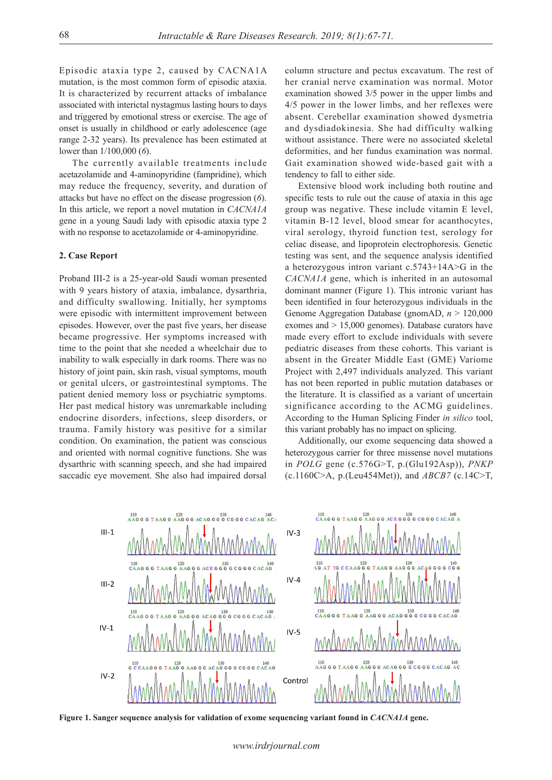Episodic ataxia type 2, caused by CACNA1A mutation, is the most common form of episodic ataxia. It is characterized by recurrent attacks of imbalance associated with interictal nystagmus lasting hours to days and triggered by emotional stress or exercise. The age of onset is usually in childhood or early adolescence (age range 2-32 years). Its prevalence has been estimated at lower than 1/100,000 (*6*).

The currently available treatments include acetazolamide and 4-aminopyridine (fampridine), which may reduce the frequency, severity, and duration of attacks but have no effect on the disease progression (*6*). In this article, we report a novel mutation in *CACNA1A*  gene in a young Saudi lady with episodic ataxia type 2 with no response to acetazolamide or 4-aminopyridine.

### **2. Case Report**

Proband III-2 is a 25-year-old Saudi woman presented with 9 years history of ataxia, imbalance, dysarthria, and difficulty swallowing. Initially, her symptoms were episodic with intermittent improvement between episodes. However, over the past five years, her disease became progressive. Her symptoms increased with time to the point that she needed a wheelchair due to inability to walk especially in dark rooms. There was no history of joint pain, skin rash, visual symptoms, mouth or genital ulcers, or gastrointestinal symptoms. The patient denied memory loss or psychiatric symptoms. Her past medical history was unremarkable including endocrine disorders, infections, sleep disorders, or trauma. Family history was positive for a similar condition. On examination, the patient was conscious and oriented with normal cognitive functions. She was dysarthric with scanning speech, and she had impaired saccadic eye movement. She also had impaired dorsal

column structure and pectus excavatum. The rest of her cranial nerve examination was normal. Motor examination showed 3/5 power in the upper limbs and 4/5 power in the lower limbs, and her reflexes were absent. Cerebellar examination showed dysmetria and dysdiadokinesia. She had difficulty walking without assistance. There were no associated skeletal deformities, and her fundus examination was normal. Gait examination showed wide-based gait with a tendency to fall to either side.

Extensive blood work including both routine and specific tests to rule out the cause of ataxia in this age group was negative. These include vitamin E level, vitamin B-12 level, blood smear for acanthocytes, viral serology, thyroid function test, serology for celiac disease, and lipoprotein electrophoresis. Genetic testing was sent, and the sequence analysis identified a heterozygous intron variant c.5743+14A>G in the *CACNA1A* gene, which is inherited in an autosomal dominant manner (Figure 1). This intronic variant has been identified in four heterozygous individuals in the Genome Aggregation Database (gnomAD, *n* > 120,000 exomes and > 15,000 genomes). Database curators have made every effort to exclude individuals with severe pediatric diseases from these cohorts. This variant is absent in the Greater Middle East (GME) Variome Project with 2,497 individuals analyzed. This variant has not been reported in public mutation databases or the literature. It is classified as a variant of uncertain significance according to the ACMG guidelines. According to the Human Splicing Finder *in silico* tool, this variant probably has no impact on splicing.

Additionally, our exome sequencing data showed a heterozygous carrier for three missense novel mutations in *POLG* gene (c.576G˃T, p.(Glu192Asp)), *PNKP*  (c.1160C˃A, p.(Leu454Met)), and *ABCB7* (c.14C˃T,



**Figure 1. Sanger sequence analysis for validation of exome sequencing variant found in** *CACNA1A* **gene.**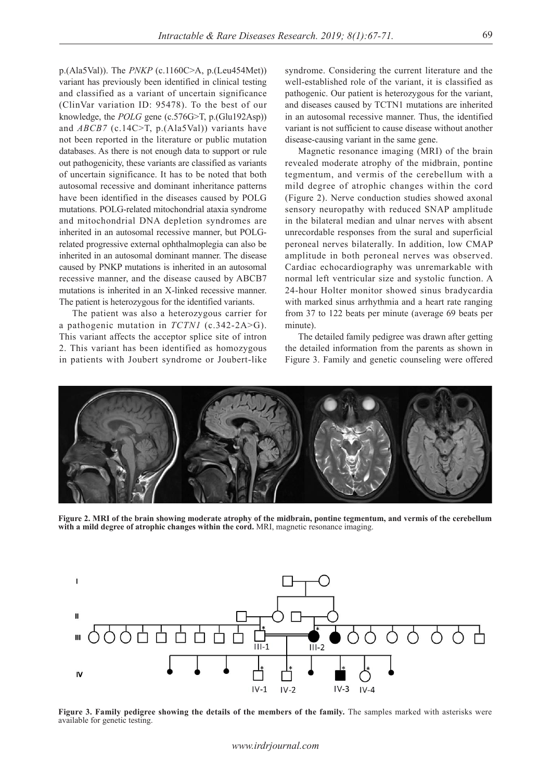p.(Ala5Val)). The *PNKP* (c.1160C˃A, p.(Leu454Met)) variant has previously been identified in clinical testing and classified as a variant of uncertain significance (ClinVar variation ID: 95478). To the best of our knowledge, the *POLG* gene (c.576G>T, p.(Glu192Asp)) and *ABCB7* (c.14C>T, p.(Ala5Val)) variants have not been reported in the literature or public mutation databases. As there is not enough data to support or rule out pathogenicity, these variants are classified as variants of uncertain significance. It has to be noted that both autosomal recessive and dominant inheritance patterns have been identified in the diseases caused by POLG mutations. POLG-related mitochondrial ataxia syndrome and mitochondrial DNA depletion syndromes are inherited in an autosomal recessive manner, but POLGrelated progressive external ophthalmoplegia can also be inherited in an autosomal dominant manner. The disease caused by PNKP mutations is inherited in an autosomal recessive manner, and the disease caused by ABCB7 mutations is inherited in an X-linked recessive manner. The patient is heterozygous for the identified variants.

The patient was also a heterozygous carrier for a pathogenic mutation in *TCTN1* (c.342-2A>G). This variant affects the acceptor splice site of intron 2. This variant has been identified as homozygous in patients with Joubert syndrome or Joubert-like

syndrome. Considering the current literature and the well-established role of the variant, it is classified as pathogenic. Our patient is heterozygous for the variant, and diseases caused by TCTN1 mutations are inherited in an autosomal recessive manner. Thus, the identified variant is not sufficient to cause disease without another disease-causing variant in the same gene.

Magnetic resonance imaging (MRI) of the brain revealed moderate atrophy of the midbrain, pontine tegmentum, and vermis of the cerebellum with a mild degree of atrophic changes within the cord (Figure 2). Nerve conduction studies showed axonal sensory neuropathy with reduced SNAP amplitude in the bilateral median and ulnar nerves with absent unrecordable responses from the sural and superficial peroneal nerves bilaterally. In addition, low CMAP amplitude in both peroneal nerves was observed. Cardiac echocardiography was unremarkable with normal left ventricular size and systolic function. A 24-hour Holter monitor showed sinus bradycardia with marked sinus arrhythmia and a heart rate ranging from 37 to 122 beats per minute (average 69 beats per minute).

The detailed family pedigree was drawn after getting the detailed information from the parents as shown in Figure 3. Family and genetic counseling were offered



**Figure 2. MRI of the brain showing moderate atrophy of the midbrain, pontine tegmentum, and vermis of the cerebellum with a mild degree of atrophic changes within the cord.** MRI, magnetic resonance imaging.



Figure 3. Family pedigree showing the details of the members of the family. The samples marked with asterisks were available for genetic testing.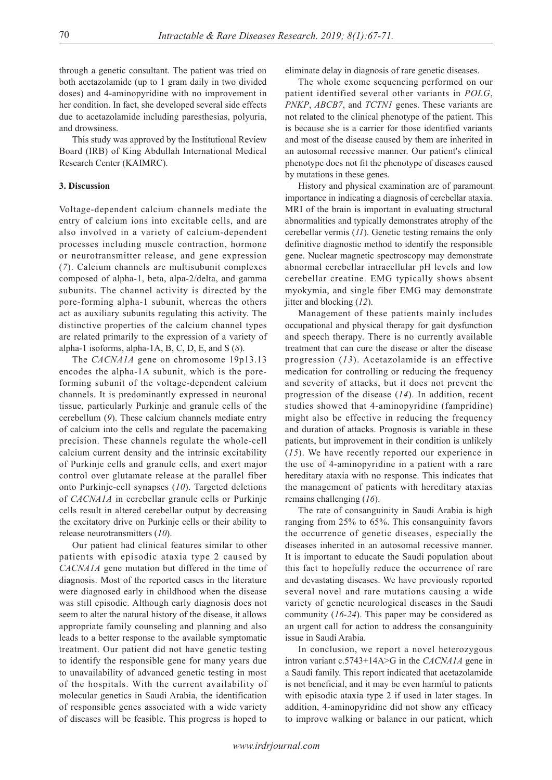through a genetic consultant. The patient was tried on both acetazolamide (up to 1 gram daily in two divided doses) and 4-aminopyridine with no improvement in her condition. In fact, she developed several side effects due to acetazolamide including paresthesias, polyuria, and drowsiness.

This study was approved by the Institutional Review Board (IRB) of King Abdullah International Medical Research Center (KAIMRC).

### **3. Discussion**

Voltage-dependent calcium channels mediate the entry of calcium ions into excitable cells, and are also involved in a variety of calcium-dependent processes including muscle contraction, hormone or neurotransmitter release, and gene expression (*7*). Calcium channels are multisubunit complexes composed of alpha-1, beta, alpa-2/delta, and gamma subunits. The channel activity is directed by the pore-forming alpha-1 subunit, whereas the others act as auxiliary subunits regulating this activity. The distinctive properties of the calcium channel types are related primarily to the expression of a variety of alpha-1 isoforms, alpha-1A, B, C, D, E, and S (*8*).

The *CACNA1A* gene on chromosome 19p13.13 encodes the alpha-1A subunit, which is the poreforming subunit of the voltage-dependent calcium channels. It is predominantly expressed in neuronal tissue, particularly Purkinje and granule cells of the cerebellum (*9*). These calcium channels mediate entry of calcium into the cells and regulate the pacemaking precision. These channels regulate the whole-cell calcium current density and the intrinsic excitability of Purkinje cells and granule cells, and exert major control over glutamate release at the parallel fiber onto Purkinje-cell synapses (*10*). Targeted deletions of *CACNA1A* in cerebellar granule cells or Purkinje cells result in altered cerebellar output by decreasing the excitatory drive on Purkinje cells or their ability to release neurotransmitters (*10*).

Our patient had clinical features similar to other patients with episodic ataxia type 2 caused by *CACNA1A* gene mutation but differed in the time of diagnosis. Most of the reported cases in the literature were diagnosed early in childhood when the disease was still episodic. Although early diagnosis does not seem to alter the natural history of the disease, it allows appropriate family counseling and planning and also leads to a better response to the available symptomatic treatment. Our patient did not have genetic testing to identify the responsible gene for many years due to unavailability of advanced genetic testing in most of the hospitals. With the current availability of molecular genetics in Saudi Arabia, the identification of responsible genes associated with a wide variety of diseases will be feasible. This progress is hoped to

eliminate delay in diagnosis of rare genetic diseases.

The whole exome sequencing performed on our patient identified several other variants in *POLG*, *PNKP*, *ABCB7*, and *TCTN1* genes. These variants are not related to the clinical phenotype of the patient. This is because she is a carrier for those identified variants and most of the disease caused by them are inherited in an autosomal recessive manner. Our patient's clinical phenotype does not fit the phenotype of diseases caused by mutations in these genes.

History and physical examination are of paramount importance in indicating a diagnosis of cerebellar ataxia. MRI of the brain is important in evaluating structural abnormalities and typically demonstrates atrophy of the cerebellar vermis (*11*). Genetic testing remains the only definitive diagnostic method to identify the responsible gene. Nuclear magnetic spectroscopy may demonstrate abnormal cerebellar intracellular pH levels and low cerebellar creatine. EMG typically shows absent myokymia, and single fiber EMG may demonstrate jitter and blocking (*12*).

Management of these patients mainly includes occupational and physical therapy for gait dysfunction and speech therapy. There is no currently available treatment that can cure the disease or alter the disease progression (*13*). Acetazolamide is an effective medication for controlling or reducing the frequency and severity of attacks, but it does not prevent the progression of the disease (*14*). In addition, recent studies showed that 4-aminopyridine (fampridine) might also be effective in reducing the frequency and duration of attacks. Prognosis is variable in these patients, but improvement in their condition is unlikely (*15*). We have recently reported our experience in the use of 4-aminopyridine in a patient with a rare hereditary ataxia with no response. This indicates that the management of patients with hereditary ataxias remains challenging (*16*).

The rate of consanguinity in Saudi Arabia is high ranging from 25% to 65%. This consanguinity favors the occurrence of genetic diseases, especially the diseases inherited in an autosomal recessive manner. It is important to educate the Saudi population about this fact to hopefully reduce the occurrence of rare and devastating diseases. We have previously reported several novel and rare mutations causing a wide variety of genetic neurological diseases in the Saudi community (*16-24*). This paper may be considered as an urgent call for action to address the consanguinity issue in Saudi Arabia.

In conclusion, we report a novel heterozygous intron variant c.5743+14A>G in the *CACNA1A* gene in a Saudi family. This report indicated that acetazolamide is not beneficial, and it may be even harmful to patients with episodic ataxia type 2 if used in later stages. In addition, 4-aminopyridine did not show any efficacy to improve walking or balance in our patient, which